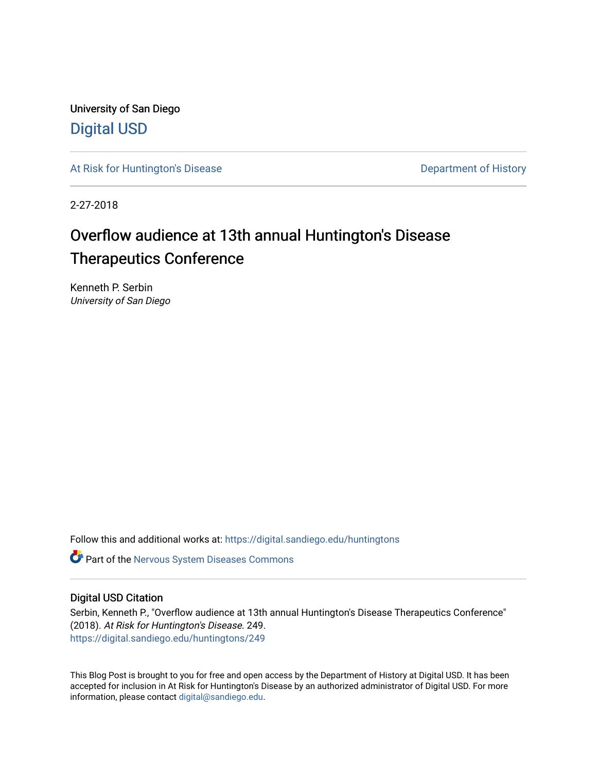University of San Diego [Digital USD](https://digital.sandiego.edu/)

[At Risk for Huntington's Disease](https://digital.sandiego.edu/huntingtons) **Department of History** Department of History

2-27-2018

## Overflow audience at 13th annual Huntington's Disease Therapeutics Conference

Kenneth P. Serbin University of San Diego

Follow this and additional works at: [https://digital.sandiego.edu/huntingtons](https://digital.sandiego.edu/huntingtons?utm_source=digital.sandiego.edu%2Fhuntingtons%2F249&utm_medium=PDF&utm_campaign=PDFCoverPages)

**C** Part of the [Nervous System Diseases Commons](http://network.bepress.com/hgg/discipline/928?utm_source=digital.sandiego.edu%2Fhuntingtons%2F249&utm_medium=PDF&utm_campaign=PDFCoverPages)

#### Digital USD Citation

Serbin, Kenneth P., "Overflow audience at 13th annual Huntington's Disease Therapeutics Conference" (2018). At Risk for Huntington's Disease. 249. [https://digital.sandiego.edu/huntingtons/249](https://digital.sandiego.edu/huntingtons/249?utm_source=digital.sandiego.edu%2Fhuntingtons%2F249&utm_medium=PDF&utm_campaign=PDFCoverPages)

This Blog Post is brought to you for free and open access by the Department of History at Digital USD. It has been accepted for inclusion in At Risk for Huntington's Disease by an authorized administrator of Digital USD. For more information, please contact [digital@sandiego.edu.](mailto:digital@sandiego.edu)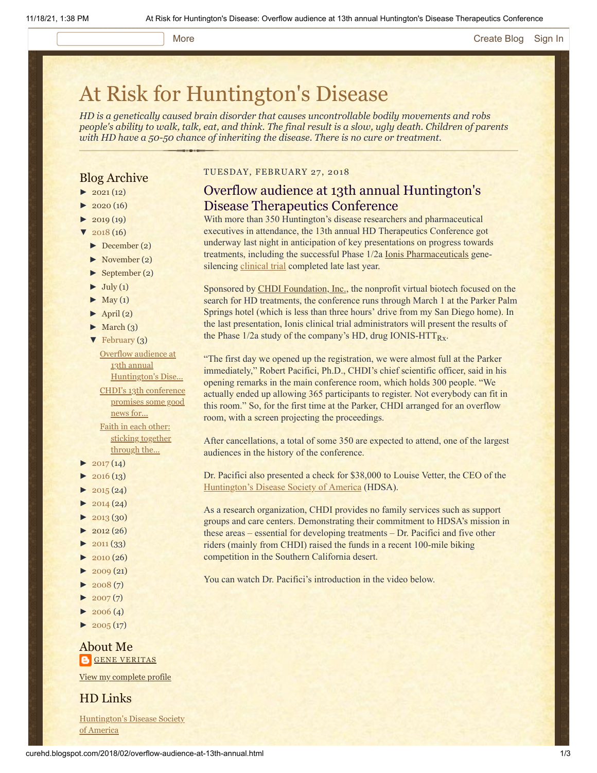#### More **[Create Blog](https://www.blogger.com/home#create) [Sign In](https://www.blogger.com/)**

# [At Risk for Huntington's Disease](http://curehd.blogspot.com/)

*HD is a genetically caused brain disorder that causes uncontrollable bodily movements and robs people's ability to walk, talk, eat, and think. The final result is a slow, ugly death. Children of parents with HD have a 50-50 chance of inheriting the disease. There is no cure or treatment.*

#### Blog Archive

- $\blacktriangleright$  [2021](http://curehd.blogspot.com/2021/) (12)
- $2020(16)$  $2020(16)$
- $2019(19)$  $2019(19)$
- $'$  [2018](http://curehd.blogspot.com/2018/) (16)
- [►](javascript:void(0)) [December](http://curehd.blogspot.com/2018/12/) (2)
- [►](javascript:void(0)) [November](http://curehd.blogspot.com/2018/11/) (2)
- [►](javascript:void(0)) [September](http://curehd.blogspot.com/2018/09/) (2)
- $\blacktriangleright$  [July](http://curehd.blogspot.com/2018/07/) (1)
- $\blacktriangleright$  [May](http://curehd.blogspot.com/2018/05/) (1)
- $\blacktriangleright$  [April](http://curehd.blogspot.com/2018/04/) (2)
- $\blacktriangleright$  [March](http://curehd.blogspot.com/2018/03/) (3)
- $\blacktriangledown$  [February](http://curehd.blogspot.com/2018/02/) (3)

Overflow audience at 13th annual [Huntington's](http://curehd.blogspot.com/2018/02/overflow-audience-at-13th-annual.html) Dise... CHDI's 13th [conference](http://curehd.blogspot.com/2018/02/chdis-13th-conference-promises-some.html) promises some good news for... Faith in each other: sticking [together](http://curehd.blogspot.com/2018/02/faith-in-each-other-sticking-together.html) through the...

- $2017(14)$  $2017(14)$
- $2016(13)$  $2016(13)$
- $\blacktriangleright$  [2015](http://curehd.blogspot.com/2015/) (24)
- $2014(24)$  $2014(24)$
- $2013(30)$  $2013(30)$
- $\blacktriangleright$  [2012](http://curehd.blogspot.com/2012/) (26)
- $\blacktriangleright$  [2011](http://curehd.blogspot.com/2011/) (33)
- $\blacktriangleright$  [2010](http://curehd.blogspot.com/2010/) (26)
- $\blacktriangleright$  [2009](http://curehd.blogspot.com/2009/) (21)
- $\blacktriangleright$  [2008](http://curehd.blogspot.com/2008/) $(7)$
- $\blacktriangleright$  [2007](http://curehd.blogspot.com/2007/) $(7)$
- $\blacktriangleright$  [2006](http://curehd.blogspot.com/2006/) (4)
- $\blacktriangleright$  [2005](http://curehd.blogspot.com/2005/) (17)

#### About Me **GENE [VERITAS](https://www.blogger.com/profile/10911736205741688185)**

View my [complete](https://www.blogger.com/profile/10911736205741688185) profile

#### HD Links

[Huntington's](http://www.hdsa.org/) Disease Society of America

#### TUESDAY, FEBRUARY 27, 2018

#### Overflow audience at 13th annual Huntington's Disease Therapeutics Conference

With more than 350 Huntington's disease researchers and pharmaceutical executives in attendance, the 13th annual HD Therapeutics Conference got underway last night in anticipation of key presentations on progress towards treatments, including the successful Phase 1/2a [Ionis Pharmaceuticals](http://www.ionispharma.com/) genesilencing [clinical trial](http://curehd.blogspot.com/2017/12/ionis-scientists-provide-initial.html) completed late last year.

Sponsored by **CHDI Foundation, Inc., the nonprofit virtual biotech focused on the** search for HD treatments, the conference runs through March 1 at the Parker Palm Springs hotel (which is less than three hours' drive from my San Diego home). In the last presentation, Ionis clinical trial administrators will present the results of the Phase  $1/2a$  study of the company's HD, drug IONIS-HTT $_{Rx}$ .

"The first day we opened up the registration, we were almost full at the Parker immediately," Robert Pacifici, Ph.D., CHDI's chief scientific officer, said in his opening remarks in the main conference room, which holds 300 people. "We actually ended up allowing 365 participants to register. Not everybody can fit in this room." So, for the first time at the Parker, CHDI arranged for an overflow room, with a screen projecting the proceedings.

After cancellations, a total of some 350 are expected to attend, one of the largest audiences in the history of the conference.

Dr. Pacifici also presented a check for \$38,000 to Louise Vetter, the CEO of the [Huntington's Disease Society of America](http://www.hdsa.org/) (HDSA).

As a research organization, CHDI provides no family services such as support groups and care centers. Demonstrating their commitment to HDSA's mission in these areas – essential for developing treatments – Dr. Pacifici and five other riders (mainly from CHDI) raised the funds in a recent 100-mile biking competition in the Southern California desert.

You can watch Dr. Pacifici's introduction in the video below.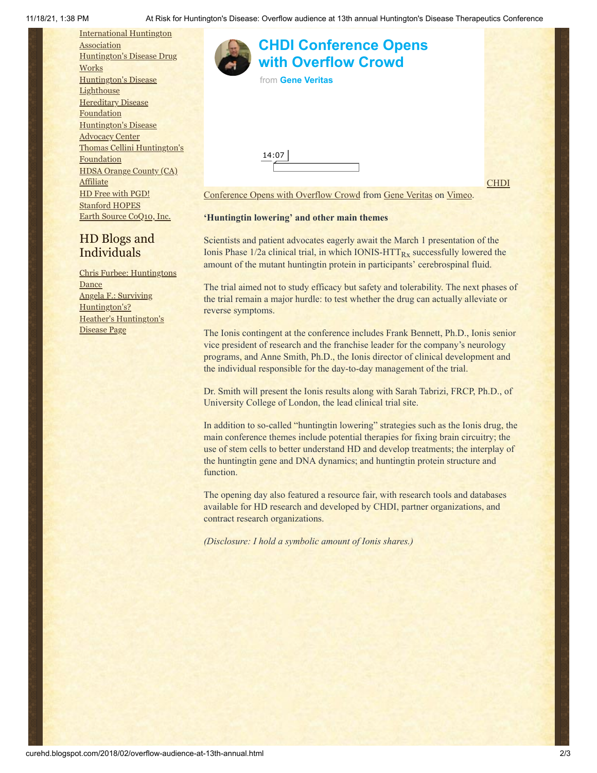[International](http://www.huntington-assoc.com/) Huntington **Association** [Huntington's](http://hddrugworks.org/) Disease Drug **Works** [Huntington's](http://www.hdlighthouse.org/) Disease **Lighthouse [Hereditary](http://www.hdfoundation.org/) Disease Foundation** [Huntington's](http://www.hdac.org/) Disease Advocacy Center Thomas [Cellini Huntington's](http://www.ourtchfoundation.org/) Foundation HDSA Orange County (CA) **[Affiliate](http://www.hdsaoc.org/)** HD Free with [PGD!](http://www.hdfreewithpgd.com/) [Stanford](http://www.stanford.edu/group/hopes/) HOPES Earth Source [CoQ10,](http://www.escoq10.com/) Inc.

### **[CHDI Conference Opens](https://vimeo.com/257653333?embedded=true&source=video_title&owner=6019843) with Overflow Crowd**

from **[Gene Veritas](https://vimeo.com/user6019843?embedded=true&source=owner_name&owner=6019843)**

14:07

**CHDI** 

[Conference Opens with Overflow Crowd from Gene Veritas on Vimeo.](https://vimeo.com/257653333)

#### **'Huntingtin lowering' and other main themes**

Scientists and patient advocates eagerly await the March 1 presentation of the Ionis Phase  $1/2a$  clinical trial, in which IONIS-HTT $_{Rx}$  successfully lowered the amount of the mutant huntingtin protein in participants' cerebrospinal fluid.

The trial aimed not to study efficacy but safety and tolerability. The next phases of the trial remain a major hurdle: to test whether the drug can actually alleviate or reverse symptoms.

The Ionis contingent at the conference includes Frank Bennett, Ph.D., Ionis senior vice president of research and the franchise leader for the company's neurology programs, and Anne Smith, Ph.D., the Ionis director of clinical development and the individual responsible for the day-to-day management of the trial.

Dr. Smith will present the Ionis results along with Sarah Tabrizi, FRCP, Ph.D., of University College of London, the lead clinical trial site.

In addition to so-called "huntingtin lowering" strategies such as the Ionis drug, the main conference themes include potential therapies for fixing brain circuitry; the use of stem cells to better understand HD and develop treatments; the interplay of the huntingtin gene and DNA dynamics; and huntingtin protein structure and function.

The opening day also featured a resource fair, with research tools and databases available for HD research and developed by CHDI, partner organizations, and contract research organizations.

*(Disclosure: I hold a symbolic amount of Ionis shares.)*

### Individuals Chris Furbee: [Huntingtons](http://www.huntingtonsdance.org/) Dance

HD Blogs and

Angela F.: Surviving [Huntington's?](http://survivinghuntingtons.blogspot.com/) Heather's [Huntington's](http://heatherdugdale.angelfire.com/) Disease Page